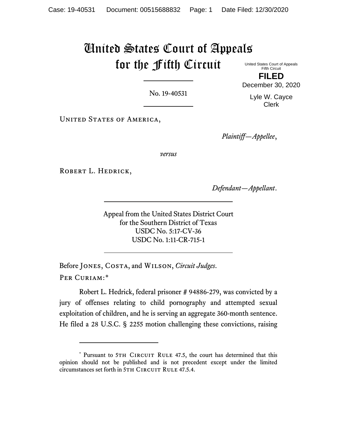## United States Court of Appeals for the Fifth Circuit

United States Court of Appeals Fifth Circuit **FILED**

No. 19-40531

UNITED STATES OF AMERICA,

*Plaintiff—Appellee*,

*versus*

ROBERT L. HEDRICK,

*Defendant—Appellant*.

Appeal from the United States District Court for the Southern District of Texas USDC No. 5:17-CV-36 USDC No. 1:11-CR-715-1

Before Jones, Costa, and Wilson, *Circuit Judges*. Per Curiam:[\\*](#page-0-0)

Robert L. Hedrick, federal prisoner # 94886-279, was convicted by a jury of offenses relating to child pornography and attempted sexual exploitation of children, and he is serving an aggregate 360-month sentence. He filed a 28 U.S.C. § 2255 motion challenging these convictions, raising

Lyle W. Cayce Clerk

December 30, 2020

<span id="page-0-0"></span><sup>\*</sup> Pursuant to 5TH CIRCUIT RULE 47.5, the court has determined that this opinion should not be published and is not precedent except under the limited circumstances set forth in 5TH CIRCUIT RULE 47.5.4.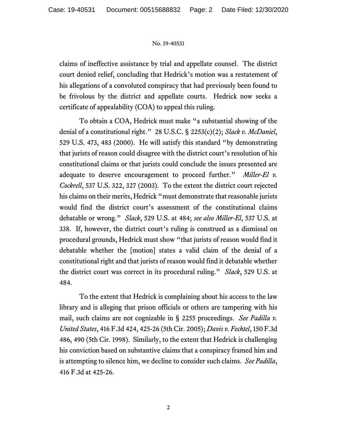## No. 19-40531

claims of ineffective assistance by trial and appellate counsel. The district court denied relief, concluding that Hedrick's motion was a restatement of his allegations of a convoluted conspiracy that had previously been found to be frivolous by the district and appellate courts. Hedrick now seeks a certificate of appealability (COA) to appeal this ruling.

To obtain a COA, Hedrick must make "a substantial showing of the denial of a constitutional right." 28 U.S.C. § 2253(c)(2); *Slack v. McDaniel*, 529 U.S. 473, 483 (2000). He will satisfy this standard "by demonstrating that jurists of reason could disagree with the district court's resolution of his constitutional claims or that jurists could conclude the issues presented are adequate to deserve encouragement to proceed further." *Miller-El v. Cockrell*, 537 U.S. 322, 327 (2003). To the extent the district court rejected his claims on their merits, Hedrick "must demonstrate that reasonable jurists would find the district court's assessment of the constitutional claims debatable or wrong." *Slack*, 529 U.S. at 484; *see also Miller-El*, 537 U.S. at 338. If, however, the district court's ruling is construed as a dismissal on procedural grounds, Hedrick must show "that jurists of reason would find it debatable whether the [motion] states a valid claim of the denial of a constitutional right and that jurists of reason would find it debatable whether the district court was correct in its procedural ruling." *Slack*, 529 U.S. at 484.

To the extent that Hedrick is complaining about his access to the law library and is alleging that prison officials or others are tampering with his mail, such claims are not cognizable in § 2255 proceedings. *See Padilla v. United States*, 416 F.3d 424, 425-26 (5th Cir. 2005); *Davis v. Fechtel*, 150 F.3d 486, 490 (5th Cir. 1998). Similarly, to the extent that Hedrick is challenging his conviction based on substantive claims that a conspiracy framed him and is attempting to silence him, we decline to consider such claims. *See Padilla*, 416 F.3d at 425-26.